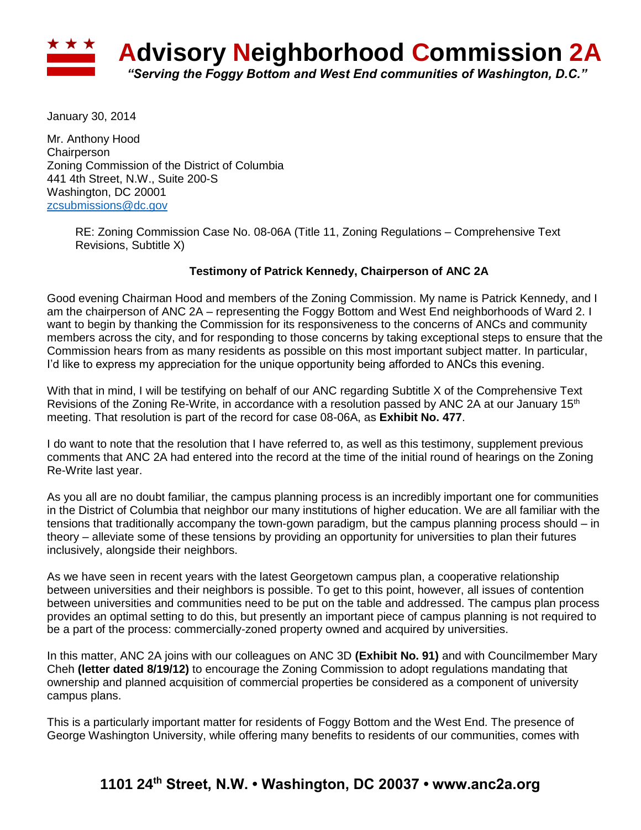

January 30, 2014

Mr. Anthony Hood **Chairperson** Zoning Commission of the District of Columbia 441 4th Street, N.W., Suite 200-S Washington, DC 20001 [zcsubmissions@dc.gov](mailto:zcsubmissions@dc.gov)

> RE: Zoning Commission Case No. 08-06A (Title 11, Zoning Regulations – Comprehensive Text Revisions, Subtitle X)

## **Testimony of Patrick Kennedy, Chairperson of ANC 2A**

Good evening Chairman Hood and members of the Zoning Commission. My name is Patrick Kennedy, and I am the chairperson of ANC 2A – representing the Foggy Bottom and West End neighborhoods of Ward 2. I want to begin by thanking the Commission for its responsiveness to the concerns of ANCs and community members across the city, and for responding to those concerns by taking exceptional steps to ensure that the Commission hears from as many residents as possible on this most important subject matter. In particular, I'd like to express my appreciation for the unique opportunity being afforded to ANCs this evening.

With that in mind, I will be testifying on behalf of our ANC regarding Subtitle X of the Comprehensive Text Revisions of the Zoning Re-Write, in accordance with a resolution passed by ANC 2A at our January 15<sup>th</sup> meeting. That resolution is part of the record for case 08-06A, as **Exhibit No. 477**.

I do want to note that the resolution that I have referred to, as well as this testimony, supplement previous comments that ANC 2A had entered into the record at the time of the initial round of hearings on the Zoning Re-Write last year.

As you all are no doubt familiar, the campus planning process is an incredibly important one for communities in the District of Columbia that neighbor our many institutions of higher education. We are all familiar with the tensions that traditionally accompany the town-gown paradigm, but the campus planning process should – in theory – alleviate some of these tensions by providing an opportunity for universities to plan their futures inclusively, alongside their neighbors.

As we have seen in recent years with the latest Georgetown campus plan, a cooperative relationship between universities and their neighbors is possible. To get to this point, however, all issues of contention between universities and communities need to be put on the table and addressed. The campus plan process provides an optimal setting to do this, but presently an important piece of campus planning is not required to be a part of the process: commercially-zoned property owned and acquired by universities.

In this matter, ANC 2A joins with our colleagues on ANC 3D **(Exhibit No. 91)** and with Councilmember Mary Cheh **(letter dated 8/19/12)** to encourage the Zoning Commission to adopt regulations mandating that ownership and planned acquisition of commercial properties be considered as a component of university campus plans.

This is a particularly important matter for residents of Foggy Bottom and the West End. The presence of George Washington University, while offering many benefits to residents of our communities, comes with